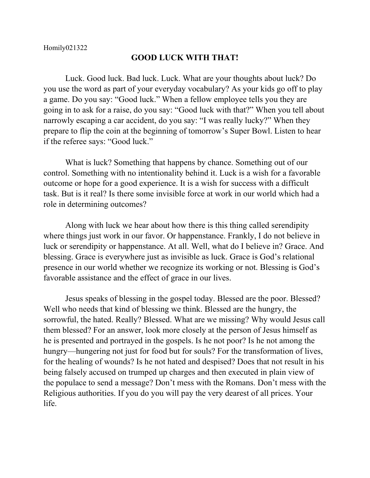## **GOOD LUCK WITH THAT!**

Luck. Good luck. Bad luck. Luck. What are your thoughts about luck? Do you use the word as part of your everyday vocabulary? As your kids go off to play a game. Do you say: "Good luck." When a fellow employee tells you they are going in to ask for a raise, do you say: "Good luck with that?" When you tell about narrowly escaping a car accident, do you say: "I was really lucky?" When they prepare to flip the coin at the beginning of tomorrow's Super Bowl. Listen to hear if the referee says: "Good luck."

What is luck? Something that happens by chance. Something out of our control. Something with no intentionality behind it. Luck is a wish for a favorable outcome or hope for a good experience. It is a wish for success with a difficult task. But is it real? Is there some invisible force at work in our world which had a role in determining outcomes?

Along with luck we hear about how there is this thing called serendipity where things just work in our favor. Or happenstance. Frankly, I do not believe in luck or serendipity or happenstance. At all. Well, what do I believe in? Grace. And blessing. Grace is everywhere just as invisible as luck. Grace is God's relational presence in our world whether we recognize its working or not. Blessing is God's favorable assistance and the effect of grace in our lives.

Jesus speaks of blessing in the gospel today. Blessed are the poor. Blessed? Well who needs that kind of blessing we think. Blessed are the hungry, the sorrowful, the hated. Really? Blessed. What are we missing? Why would Jesus call them blessed? For an answer, look more closely at the person of Jesus himself as he is presented and portrayed in the gospels. Is he not poor? Is he not among the hungry—hungering not just for food but for souls? For the transformation of lives, for the healing of wounds? Is he not hated and despised? Does that not result in his being falsely accused on trumped up charges and then executed in plain view of the populace to send a message? Don't mess with the Romans. Don't mess with the Religious authorities. If you do you will pay the very dearest of all prices. Your life.